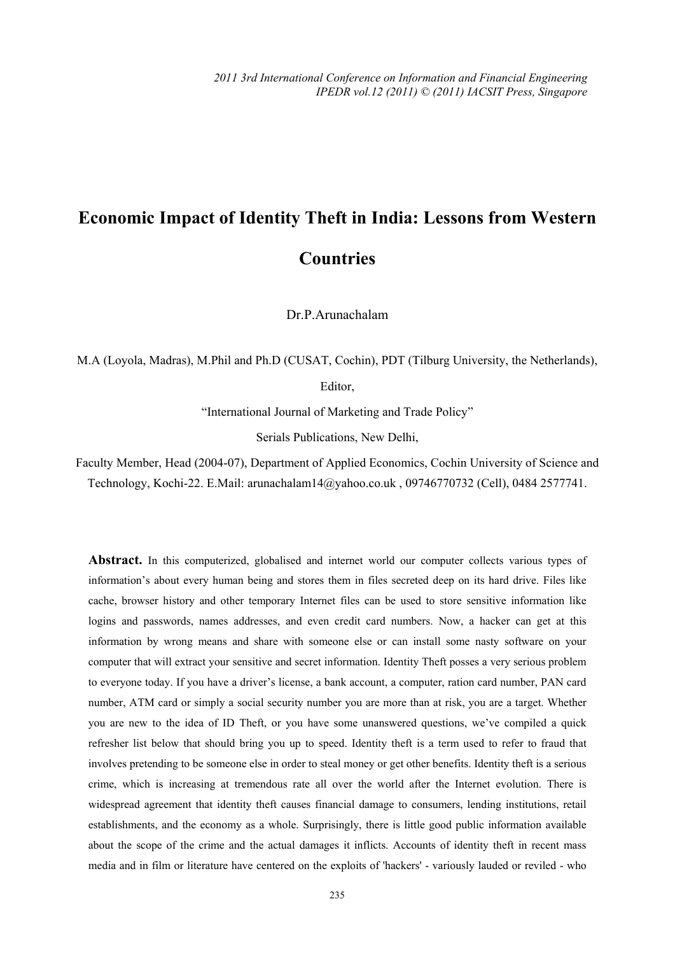*2011 3rd International Conference on Information and Financial Engineering IPEDR vol.12 (2011) © (2011) IACSIT Press, Singapore* 

## **Economic Impact of Identity Theft in India: Lessons from Western Countries**

Dr.P.Arunachalam

M.A (Loyola, Madras), M.Phil and Ph.D (CUSAT, Cochin), PDT (Tilburg University, the Netherlands),

Editor,

"International Journal of Marketing and Trade Policy"

Serials Publications, New Delhi,

Faculty Member, Head (2004-07), Department of Applied Economics, Cochin University of Science and Technology, Kochi-22. E.Mail: arunachalam14@yahoo.co.uk , 09746770732 (Cell), 0484 2577741.

**Abstract.** In this computerized, globalised and internet world our computer collects various types of information's about every human being and stores them in files secreted deep on its hard drive. Files like cache, browser history and other temporary Internet files can be used to store sensitive information like logins and passwords, names addresses, and even credit card numbers. Now, a hacker can get at this information by wrong means and share with someone else or can install some nasty software on your computer that will extract your sensitive and secret information. Identity Theft posses a very serious problem to everyone today. If you have a driver's license, a bank account, a computer, ration card number, PAN card number, ATM card or simply a social security number you are more than at risk, you are a target. Whether you are new to the idea of ID Theft, or you have some unanswered questions, we've compiled a quick refresher list below that should bring you up to speed. Identity theft is a term used to refer to fraud that involves pretending to be someone else in order to steal money or get other benefits. Identity theft is a serious crime, which is increasing at tremendous rate all over the world after the Internet evolution. There is widespread agreement that identity theft causes financial damage to consumers, lending institutions, retail establishments, and the economy as a whole. Surprisingly, there is little good public information available about the scope of the crime and the actual damages it inflicts. Accounts of identity theft in recent mass media and in film or literature have centered on the exploits of 'hackers' - variously lauded or reviled - who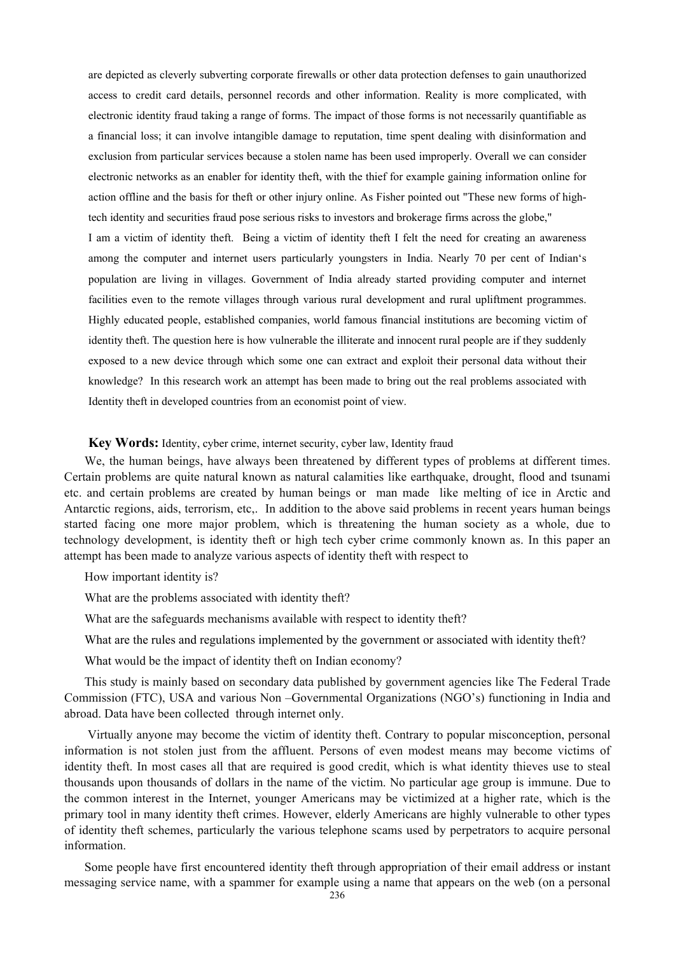are depicted as cleverly subverting corporate firewalls or other data protection defenses to gain unauthorized access to credit card details, personnel records and other information. Reality is more complicated, with electronic identity fraud taking a range of forms. The impact of those forms is not necessarily quantifiable as a financial loss; it can involve intangible damage to reputation, time spent dealing with disinformation and exclusion from particular services because a stolen name has been used improperly. Overall we can consider electronic networks as an enabler for identity theft, with the thief for example gaining information online for action offline and the basis for theft or other injury online. As Fisher pointed out "These new forms of hightech identity and securities fraud pose serious risks to investors and brokerage firms across the globe," I am a victim of identity theft. Being a victim of identity theft I felt the need for creating an awareness

among the computer and internet users particularly youngsters in India. Nearly 70 per cent of Indian's population are living in villages. Government of India already started providing computer and internet facilities even to the remote villages through various rural development and rural upliftment programmes. Highly educated people, established companies, world famous financial institutions are becoming victim of identity theft. The question here is how vulnerable the illiterate and innocent rural people are if they suddenly exposed to a new device through which some one can extract and exploit their personal data without their knowledge? In this research work an attempt has been made to bring out the real problems associated with Identity theft in developed countries from an economist point of view.

## **Key Words:** Identity, cyber crime, internet security, cyber law, Identity fraud

We, the human beings, have always been threatened by different types of problems at different times. Certain problems are quite natural known as natural calamities like earthquake, drought, flood and tsunami etc. and certain problems are created by human beings or man made like melting of ice in Arctic and Antarctic regions, aids, terrorism, etc,. In addition to the above said problems in recent years human beings started facing one more major problem, which is threatening the human society as a whole, due to technology development, is identity theft or high tech cyber crime commonly known as. In this paper an attempt has been made to analyze various aspects of identity theft with respect to

How important identity is?

What are the problems associated with identity theft?

What are the safeguards mechanisms available with respect to identity theft?

What are the rules and regulations implemented by the government or associated with identity theft?

What would be the impact of identity theft on Indian economy?

This study is mainly based on secondary data published by government agencies like The Federal Trade Commission (FTC), USA and various Non –Governmental Organizations (NGO's) functioning in India and abroad. Data have been collected through internet only.

 Virtually anyone may become the victim of identity theft. Contrary to popular misconception, personal information is not stolen just from the affluent. Persons of even modest means may become victims of identity theft. In most cases all that are required is good credit, which is what identity thieves use to steal thousands upon thousands of dollars in the name of the victim. No particular age group is immune. Due to the common interest in the Internet, younger Americans may be victimized at a higher rate, which is the primary tool in many identity theft crimes. However, elderly Americans are highly vulnerable to other types of identity theft schemes, particularly the various telephone scams used by perpetrators to acquire personal information.

Some people have first encountered identity theft through appropriation of their email address or instant messaging service name, with a spammer for example using a name that appears on the web (on a personal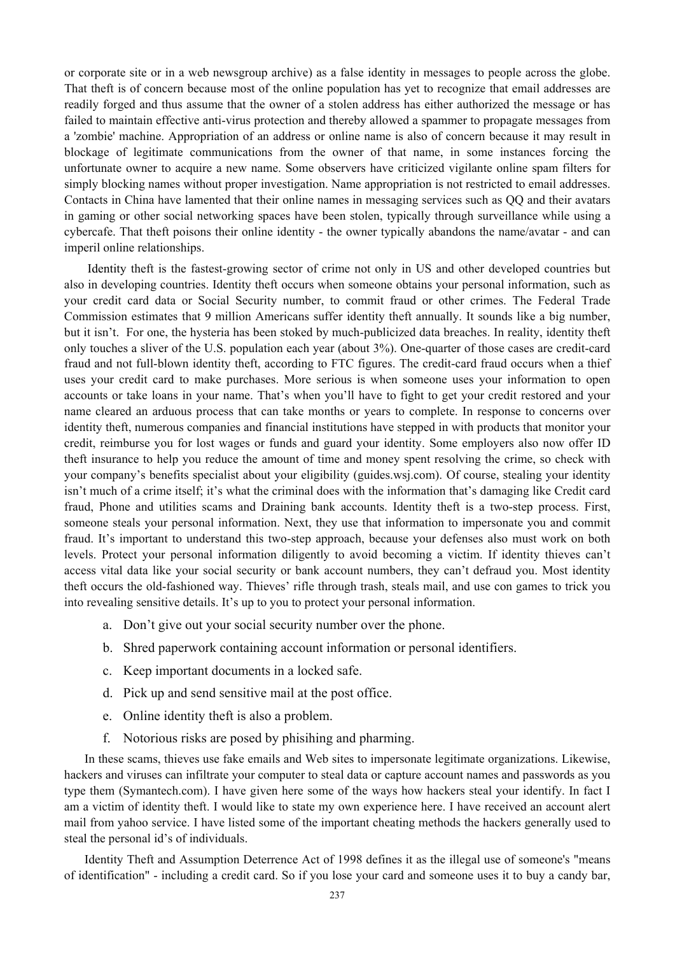or corporate site or in a web newsgroup archive) as a false identity in messages to people across the globe. That theft is of concern because most of the online population has yet to recognize that email addresses are readily forged and thus assume that the owner of a stolen address has either authorized the message or has failed to maintain effective anti-virus protection and thereby allowed a spammer to propagate messages from a 'zombie' machine. Appropriation of an address or online name is also of concern because it may result in blockage of legitimate communications from the owner of that name, in some instances forcing the unfortunate owner to acquire a new name. Some observers have criticized vigilante online spam filters for simply blocking names without proper investigation. Name appropriation is not restricted to email addresses. Contacts in China have lamented that their online names in messaging services such as QQ and their avatars in gaming or other social networking spaces have been stolen, typically through surveillance while using a cybercafe. That theft poisons their online identity - the owner typically abandons the name/avatar - and can imperil online relationships.

Identity theft is the fastest-growing sector of crime not only in US and other developed countries but also in developing countries. Identity theft occurs when someone obtains your personal information, such as your credit card data or Social Security number, to commit fraud or other crimes. The Federal Trade Commission estimates that 9 million Americans suffer identity theft annually. It sounds like a big number, but it isn't. For one, the hysteria has been stoked by much-publicized data breaches. In reality, identity theft only touches a sliver of the U.S. population each year (about 3%). One-quarter of those cases are credit-card fraud and not full-blown identity theft, according to FTC figures. The credit-card fraud occurs when a thief uses your credit card to make purchases. More serious is when someone uses your information to open accounts or take loans in your name. That's when you'll have to fight to get your credit restored and your name cleared an arduous process that can take months or years to complete. In response to concerns over identity theft, numerous companies and financial institutions have stepped in with products that monitor your credit, reimburse you for lost wages or funds and guard your identity. Some employers also now offer ID theft insurance to help you reduce the amount of time and money spent resolving the crime, so check with your company's benefits specialist about your eligibility (guides.wsj.com). Of course, stealing your identity isn't much of a crime itself; it's what the criminal does with the information that's damaging like Credit card fraud, Phone and utilities scams and Draining bank accounts. Identity theft is a two-step process. First, someone steals your personal information. Next, they use that information to impersonate you and commit fraud. It's important to understand this two-step approach, because your defenses also must work on both levels. Protect your personal information diligently to avoid becoming a victim. If identity thieves can't access vital data like your social security or bank account numbers, they can't defraud you. Most identity theft occurs the old-fashioned way. Thieves' rifle through trash, steals mail, and use con games to trick you into revealing sensitive details. It's up to you to protect your personal information.

- a. Don't give out your social security number over the phone.
- b. Shred paperwork containing account information or personal identifiers.
- c. Keep important documents in a locked safe.
- d. Pick up and send sensitive mail at the post office.
- e. Online identity theft is also a problem.
- f. Notorious risks are posed by phisihing and pharming.

In these scams, thieves use fake emails and Web sites to impersonate legitimate organizations. Likewise, hackers and viruses can infiltrate your computer to steal data or capture account names and passwords as you type them (Symantech.com). I have given here some of the ways how hackers steal your identify. In fact I am a victim of identity theft. I would like to state my own experience here. I have received an account alert mail from yahoo service. I have listed some of the important cheating methods the hackers generally used to steal the personal id's of individuals.

Identity Theft and Assumption Deterrence Act of 1998 defines it as the illegal use of someone's "means of identification" - including a credit card. So if you lose your card and someone uses it to buy a candy bar,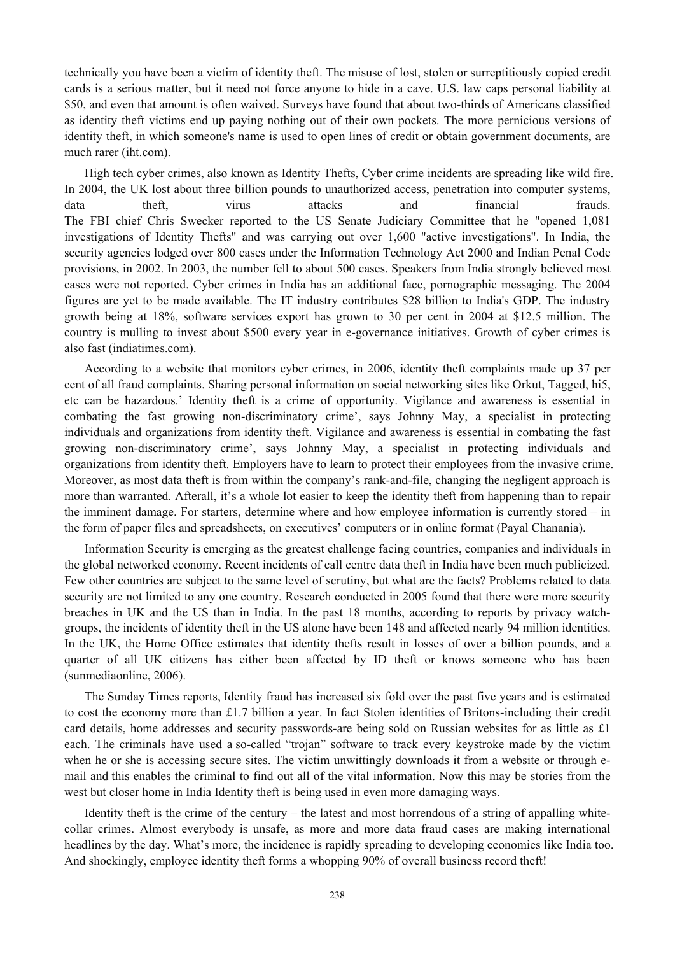technically you have been a victim of identity theft. The misuse of lost, stolen or surreptitiously copied credit cards is a serious matter, but it need not force anyone to hide in a cave. U.S. law caps personal liability at \$50, and even that amount is often waived. Surveys have found that about two-thirds of Americans classified as identity theft victims end up paying nothing out of their own pockets. The more pernicious versions of identity theft, in which someone's name is used to open lines of credit or obtain government documents, are much rarer (iht.com).

High tech cyber crimes, also known as Identity Thefts, Cyber crime incidents are spreading like wild fire. In 2004, the UK lost about three billion pounds to unauthorized access, penetration into computer systems, data theft, virus attacks and financial frauds. The FBI chief Chris Swecker reported to the US Senate Judiciary Committee that he "opened 1,081 investigations of Identity Thefts" and was carrying out over 1,600 "active investigations". In India, the security agencies lodged over 800 cases under the Information Technology Act 2000 and Indian Penal Code provisions, in 2002. In 2003, the number fell to about 500 cases. Speakers from India strongly believed most cases were not reported. Cyber crimes in India has an additional face, pornographic messaging. The 2004 figures are yet to be made available. The IT industry contributes \$28 billion to India's GDP. The industry growth being at 18%, software services export has grown to 30 per cent in 2004 at \$12.5 million. The country is mulling to invest about \$500 every year in e-governance initiatives. Growth of cyber crimes is also fast (indiatimes.com).

According to a website that monitors cyber crimes, in 2006, identity theft complaints made up 37 per cent of all fraud complaints. Sharing personal information on social networking sites like Orkut, Tagged, hi5, etc can be hazardous.' Identity theft is a crime of opportunity. Vigilance and awareness is essential in combating the fast growing non-discriminatory crime', says Johnny May, a specialist in protecting individuals and organizations from identity theft. Vigilance and awareness is essential in combating the fast growing non-discriminatory crime', says Johnny May, a specialist in protecting individuals and organizations from identity theft. Employers have to learn to protect their employees from the invasive crime. Moreover, as most data theft is from within the company's rank-and-file, changing the negligent approach is more than warranted. Afterall, it's a whole lot easier to keep the identity theft from happening than to repair the imminent damage. For starters, determine where and how employee information is currently stored – in the form of paper files and spreadsheets, on executives' computers or in online format (Payal Chanania).

Information Security is emerging as the greatest challenge facing countries, companies and individuals in the global networked economy. Recent incidents of call centre data theft in India have been much publicized. Few other countries are subject to the same level of scrutiny, but what are the facts? Problems related to data security are not limited to any one country. Research conducted in 2005 found that there were more security breaches in UK and the US than in India. In the past 18 months, according to reports by privacy watchgroups, the incidents of identity theft in the US alone have been 148 and affected nearly 94 million identities. In the UK, the Home Office estimates that identity thefts result in losses of over a billion pounds, and a quarter of all UK citizens has either been affected by ID theft or knows someone who has been (sunmediaonline, 2006).

The Sunday Times reports, Identity fraud has increased six fold over the past five years and is estimated to cost the economy more than £1.7 billion a year. In fact Stolen identities of Britons-including their credit card details, home addresses and security passwords-are being sold on Russian websites for as little as £1 each. The criminals have used a so-called "trojan" software to track every keystroke made by the victim when he or she is accessing secure sites. The victim unwittingly downloads it from a website or through email and this enables the criminal to find out all of the vital information. Now this may be stories from the west but closer home in India Identity theft is being used in even more damaging ways.

Identity theft is the crime of the century – the latest and most horrendous of a string of appalling whitecollar crimes. Almost everybody is unsafe, as more and more data fraud cases are making international headlines by the day. What's more, the incidence is rapidly spreading to developing economies like India too. And shockingly, employee identity theft forms a whopping 90% of overall business record theft!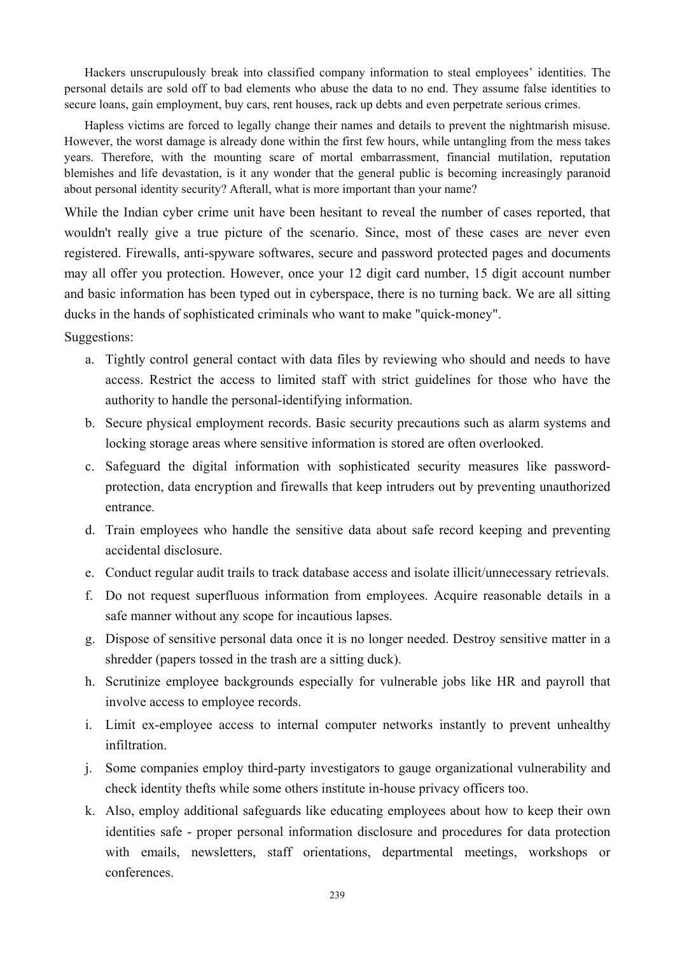Hackers unscrupulously break into classified company information to steal employees' identities. The personal details are sold off to bad elements who abuse the data to no end. They assume false identities to secure loans, gain employment, buy cars, rent houses, rack up debts and even perpetrate serious crimes.

Hapless victims are forced to legally change their names and details to prevent the nightmarish misuse. However, the worst damage is already done within the first few hours, while untangling from the mess takes years. Therefore, with the mounting scare of mortal embarrassment, financial mutilation, reputation blemishes and life devastation, is it any wonder that the general public is becoming increasingly paranoid about personal identity security? Afterall, what is more important than your name?

While the Indian cyber crime unit have been hesitant to reveal the number of cases reported, that wouldn't really give a true picture of the scenario. Since, most of these cases are never even registered. Firewalls, anti-spyware softwares, secure and password protected pages and documents may all offer you protection. However, once your 12 digit card number, 15 digit account number and basic information has been typed out in cyberspace, there is no turning back. We are all sitting ducks in the hands of sophisticated criminals who want to make "quick-money".

Suggestions:

- a. Tightly control general contact with data files by reviewing who should and needs to have access. Restrict the access to limited staff with strict guidelines for those who have the authority to handle the personal-identifying information.
- b. Secure physical employment records. Basic security precautions such as alarm systems and locking storage areas where sensitive information is stored are often overlooked.
- c. Safeguard the digital information with sophisticated security measures like passwordprotection, data encryption and firewalls that keep intruders out by preventing unauthorized entrance.
- d. Train employees who handle the sensitive data about safe record keeping and preventing accidental disclosure.
- e. Conduct regular audit trails to track database access and isolate illicit/unnecessary retrievals.
- f. Do not request superfluous information from employees. Acquire reasonable details in a safe manner without any scope for incautious lapses.
- g. Dispose of sensitive personal data once it is no longer needed. Destroy sensitive matter in a shredder (papers tossed in the trash are a sitting duck).
- h. Scrutinize employee backgrounds especially for vulnerable jobs like HR and payroll that involve access to employee records.
- i. Limit ex-employee access to internal computer networks instantly to prevent unhealthy infiltration.
- j. Some companies employ third-party investigators to gauge organizational vulnerability and check identity thefts while some others institute in-house privacy officers too.
- k. Also, employ additional safeguards like educating employees about how to keep their own identities safe - proper personal information disclosure and procedures for data protection with emails, newsletters, staff orientations, departmental meetings, workshops or conferences.